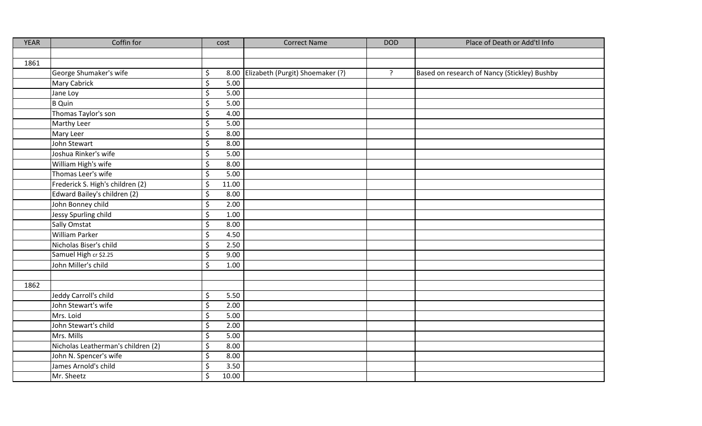| <b>YEAR</b> | Coffin for                         | cost                              | <b>Correct Name</b>                   | <b>DOD</b>     | Place of Death or Add'tl Info                |
|-------------|------------------------------------|-----------------------------------|---------------------------------------|----------------|----------------------------------------------|
|             |                                    |                                   |                                       |                |                                              |
| 1861        |                                    |                                   |                                       |                |                                              |
|             | George Shumaker's wife             | \$                                | 8.00 Elizabeth (Purgit) Shoemaker (?) | $\overline{?}$ | Based on research of Nancy (Stickley) Bushby |
|             | Mary Cabrick                       | \$<br>5.00                        |                                       |                |                                              |
|             | Jane Loy                           | \$<br>5.00                        |                                       |                |                                              |
|             | <b>B</b> Quin                      | \$<br>5.00                        |                                       |                |                                              |
|             | Thomas Taylor's son                | \$<br>4.00                        |                                       |                |                                              |
|             | Marthy Leer                        | $\overline{\varsigma}$<br>5.00    |                                       |                |                                              |
|             | Mary Leer                          | \$<br>8.00                        |                                       |                |                                              |
|             | John Stewart                       | \$<br>8.00                        |                                       |                |                                              |
|             | Joshua Rinker's wife               | \$<br>5.00                        |                                       |                |                                              |
|             | William High's wife                | \$<br>8.00                        |                                       |                |                                              |
|             | Thomas Leer's wife                 | \$<br>5.00                        |                                       |                |                                              |
|             | Frederick S. High's children (2)   | \$<br>11.00                       |                                       |                |                                              |
|             | Edward Bailey's children (2)       | \$<br>8.00                        |                                       |                |                                              |
|             | John Bonney child                  | \$<br>2.00                        |                                       |                |                                              |
|             | Jessy Spurling child               | $\overline{\varsigma}$<br>1.00    |                                       |                |                                              |
|             | Sally Omstat                       | $\overline{\mathcal{S}}$<br>8.00  |                                       |                |                                              |
|             | <b>William Parker</b>              | \$<br>4.50                        |                                       |                |                                              |
|             | Nicholas Biser's child             | \$<br>2.50                        |                                       |                |                                              |
|             | Samuel High cr \$2.25              | \$<br>9.00                        |                                       |                |                                              |
|             | John Miller's child                | $\overline{\mathcal{S}}$<br>1.00  |                                       |                |                                              |
|             |                                    |                                   |                                       |                |                                              |
| 1862        |                                    |                                   |                                       |                |                                              |
|             | Jeddy Carroll's child              | \$<br>5.50                        |                                       |                |                                              |
|             | John Stewart's wife                | $\overline{\varsigma}$<br>2.00    |                                       |                |                                              |
|             | Mrs. Loid                          | \$<br>5.00                        |                                       |                |                                              |
|             | John Stewart's child               | \$<br>2.00                        |                                       |                |                                              |
|             | Mrs. Mills                         | \$<br>5.00                        |                                       |                |                                              |
|             | Nicholas Leatherman's children (2) | $\overline{\varsigma}$<br>8.00    |                                       |                |                                              |
|             | John N. Spencer's wife             | \$<br>8.00                        |                                       |                |                                              |
|             | James Arnold's child               | \$<br>3.50                        |                                       |                |                                              |
|             | Mr. Sheetz                         | $\overline{\mathcal{S}}$<br>10.00 |                                       |                |                                              |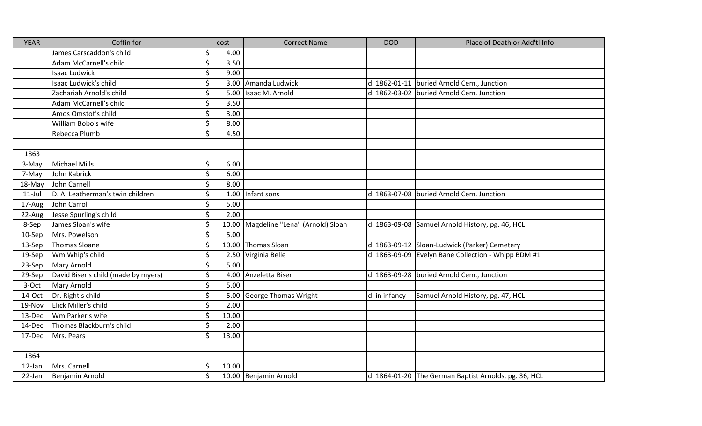| <b>YEAR</b> | Coffin for                          | cost                     | <b>Correct Name</b>                   | <b>DOD</b>    | Place of Death or Add'tl Info                         |
|-------------|-------------------------------------|--------------------------|---------------------------------------|---------------|-------------------------------------------------------|
|             | James Carscaddon's child            | \$<br>4.00               |                                       |               |                                                       |
|             | Adam McCarnell's child              | \$<br>3.50               |                                       |               |                                                       |
|             | <b>Isaac Ludwick</b>                | \$<br>9.00               |                                       |               |                                                       |
|             | Isaac Ludwick's child               | \$<br>3.00               | Amanda Ludwick                        |               | d. 1862-01-11   buried Arnold Cem., Junction          |
|             | Zachariah Arnold's child            | \$<br>5.00               | Isaac M. Arnold                       |               | d. 1862-03-02 buried Arnold Cem. Junction             |
|             | Adam McCarnell's child              | \$<br>3.50               |                                       |               |                                                       |
|             | Amos Omstot's child                 | \$<br>3.00               |                                       |               |                                                       |
|             | William Bobo's wife                 | \$<br>8.00               |                                       |               |                                                       |
|             | Rebecca Plumb                       | \$<br>4.50               |                                       |               |                                                       |
|             |                                     |                          |                                       |               |                                                       |
| 1863        |                                     |                          |                                       |               |                                                       |
| 3-May       | <b>Michael Mills</b>                | \$<br>6.00               |                                       |               |                                                       |
| 7-May       | John Kabrick                        | \$<br>6.00               |                                       |               |                                                       |
| 18-May      | John Carnell                        | \$<br>8.00               |                                       |               |                                                       |
| $11$ -Jul   | D. A. Leatherman's twin children    | \$<br>1.00               | Infant sons                           |               | d. 1863-07-08 buried Arnold Cem. Junction             |
| 17-Aug      | John Carrol                         | \$<br>5.00               |                                       |               |                                                       |
| 22-Aug      | Jesse Spurling's child              | $\overline{\xi}$<br>2.00 |                                       |               |                                                       |
| 8-Sep       | James Sloan's wife                  | \$                       | 10.00 Magdeline "Lena" (Arnold) Sloan |               | d. 1863-09-08 Samuel Arnold History, pg. 46, HCL      |
| $10-$ Sep   | Mrs. Powelson                       | \$<br>5.00               |                                       |               |                                                       |
| 13-Sep      | <b>Thomas Sloane</b>                | \$                       | 10.00 Thomas Sloan                    |               | d. 1863-09-12 Sloan-Ludwick (Parker) Cemetery         |
| 19-Sep      | Wm Whip's child                     | \$                       | 2.50 Virginia Belle                   |               | d. 1863-09-09 Evelyn Bane Collection - Whipp BDM #1   |
| 23-Sep      | Mary Arnold                         | \$<br>5.00               |                                       |               |                                                       |
| 29-Sep      | David Biser's child (made by myers) | \$<br>4.00               | Anzeletta Biser                       |               | d. 1863-09-28 buried Arnold Cem., Junction            |
| 3-Oct       | <b>Mary Arnold</b>                  | \$<br>5.00               |                                       |               |                                                       |
| 14-Oct      | Dr. Right's child                   | \$<br>5.00               | <b>George Thomas Wright</b>           | d. in infancy | Samuel Arnold History, pg. 47, HCL                    |
| 19-Nov      | Elick Miller's child                | $\overline{\xi}$<br>2.00 |                                       |               |                                                       |
| 13-Dec      | Wm Parker's wife                    | \$<br>10.00              |                                       |               |                                                       |
| 14-Dec      | Thomas Blackburn's child            | \$<br>2.00               |                                       |               |                                                       |
| 17-Dec      | Mrs. Pears                          | \$<br>13.00              |                                       |               |                                                       |
|             |                                     |                          |                                       |               |                                                       |
| 1864        |                                     |                          |                                       |               |                                                       |
| 12-Jan      | Mrs. Carnell                        | \$<br>10.00              |                                       |               |                                                       |
| 22-Jan      | Benjamin Arnold                     | \$                       | 10.00 Benjamin Arnold                 |               | d. 1864-01-20 The German Baptist Arnolds, pg. 36, HCL |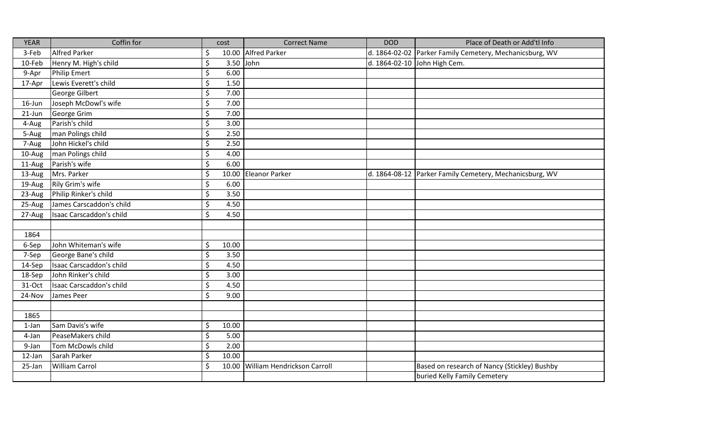| <b>YEAR</b> | Coffin for               | cost                 | <b>Correct Name</b>               | <b>DOD</b> | Place of Death or Add'tl Info                             |
|-------------|--------------------------|----------------------|-----------------------------------|------------|-----------------------------------------------------------|
| 3-Feb       | <b>Alfred Parker</b>     | \$                   | 10.00 Alfred Parker               |            | d. 1864-02-02 Parker Family Cemetery, Mechanicsburg, WV   |
| 10-Feb      | Henry M. High's child    | $\zeta$<br>3.50 John |                                   |            | d. 1864-02-10 John High Cem.                              |
| 9-Apr       | <b>Philip Emert</b>      | \$<br>6.00           |                                   |            |                                                           |
| 17-Apr      | Lewis Everett's child    | $\zeta$<br>1.50      |                                   |            |                                                           |
|             | George Gilbert           | \$<br>7.00           |                                   |            |                                                           |
| 16-Jun      | Joseph McDowl's wife     | \$<br>7.00           |                                   |            |                                                           |
| $21$ -Jun   | George Grim              | $\zeta$<br>7.00      |                                   |            |                                                           |
| 4-Aug       | Parish's child           | \$<br>3.00           |                                   |            |                                                           |
| 5-Aug       | man Polings child        | \$<br>2.50           |                                   |            |                                                           |
| 7-Aug       | John Hickel's child      | \$<br>2.50           |                                   |            |                                                           |
| 10-Aug      | man Polings child        | \$<br>4.00           |                                   |            |                                                           |
| 11-Aug      | Parish's wife            | $\zeta$<br>6.00      |                                   |            |                                                           |
| 13-Aug      | Mrs. Parker              | $\zeta$              | 10.00 Eleanor Parker              |            | d. 1864-08-12   Parker Family Cemetery, Mechanicsburg, WV |
| 19-Aug      | Rily Grim's wife         | $\zeta$<br>6.00      |                                   |            |                                                           |
| 23-Aug      | Philip Rinker's child    | \$<br>3.50           |                                   |            |                                                           |
| 25-Aug      | James Carscaddon's child | \$<br>4.50           |                                   |            |                                                           |
| 27-Aug      | Isaac Carscaddon's child | $\zeta$<br>4.50      |                                   |            |                                                           |
|             |                          |                      |                                   |            |                                                           |
| 1864        |                          |                      |                                   |            |                                                           |
| 6-Sep       | John Whiteman's wife     | \$<br>10.00          |                                   |            |                                                           |
| 7-Sep       | George Bane's child      | \$<br>3.50           |                                   |            |                                                           |
| 14-Sep      | Isaac Carscaddon's child | $\zeta$<br>4.50      |                                   |            |                                                           |
| 18-Sep      | John Rinker's child      | $\zeta$<br>3.00      |                                   |            |                                                           |
| 31-Oct      | Isaac Carscaddon's child | $\zeta$<br>4.50      |                                   |            |                                                           |
| 24-Nov      | James Peer               | \$<br>9.00           |                                   |            |                                                           |
|             |                          |                      |                                   |            |                                                           |
| 1865        |                          |                      |                                   |            |                                                           |
| $1$ -Jan    | Sam Davis's wife         | $\zeta$<br>10.00     |                                   |            |                                                           |
| 4-Jan       | PeaseMakers child        | $\zeta$<br>5.00      |                                   |            |                                                           |
| 9-Jan       | Tom McDowls child        | \$<br>2.00           |                                   |            |                                                           |
| 12-Jan      | Sarah Parker             | \$<br>10.00          |                                   |            |                                                           |
| 25-Jan      | William Carrol           | $\mathsf{\dot{S}}$   | 10.00 William Hendrickson Carroll |            | Based on research of Nancy (Stickley) Bushby              |
|             |                          |                      |                                   |            | buried Kelly Family Cemetery                              |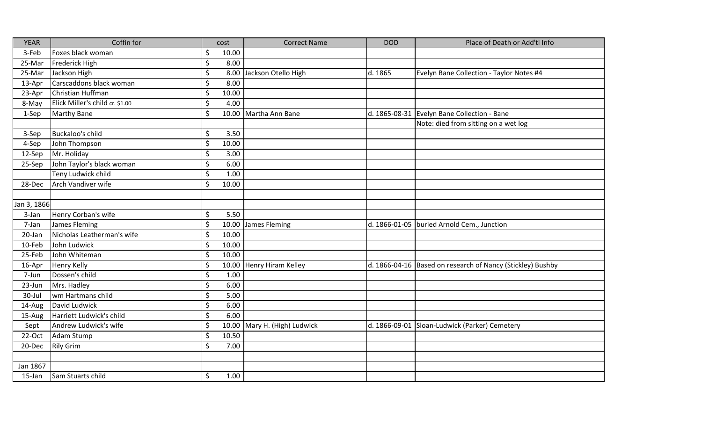| <b>YEAR</b> | Coffin for                      |                          | cost  | <b>Correct Name</b>          | <b>DOD</b>    | Place of Death or Add'tl Info                              |
|-------------|---------------------------------|--------------------------|-------|------------------------------|---------------|------------------------------------------------------------|
| 3-Feb       | Foxes black woman               | \$                       | 10.00 |                              |               |                                                            |
| 25-Mar      | Frederick High                  | \$                       | 8.00  |                              |               |                                                            |
| 25-Mar      | Jackson High                    | \$                       |       | 8.00 Jackson Otello High     | d. 1865       | Evelyn Bane Collection - Taylor Notes #4                   |
| 13-Apr      | Carscaddons black woman         | \$                       | 8.00  |                              |               |                                                            |
| 23-Apr      | Christian Huffman               | \$                       | 10.00 |                              |               |                                                            |
| 8-May       | Elick Miller's child cr. \$1.00 | \$                       | 4.00  |                              |               |                                                            |
| 1-Sep       | Marthy Bane                     | $\zeta$                  |       | 10.00 Martha Ann Bane        |               | d. 1865-08-31 Evelyn Bane Collection - Bane                |
|             |                                 |                          |       |                              |               | Note: died from sitting on a wet log                       |
| 3-Sep       | Buckaloo's child                | $\zeta$                  | 3.50  |                              |               |                                                            |
| 4-Sep       | John Thompson                   | \$                       | 10.00 |                              |               |                                                            |
| 12-Sep      | Mr. Holiday                     | \$                       | 3.00  |                              |               |                                                            |
| 25-Sep      | John Taylor's black woman       | $\zeta$                  | 6.00  |                              |               |                                                            |
|             | Teny Ludwick child              | $\zeta$                  | 1.00  |                              |               |                                                            |
| 28-Dec      | Arch Vandiver wife              | $\zeta$                  | 10.00 |                              |               |                                                            |
|             |                                 |                          |       |                              |               |                                                            |
| Jan 3, 1866 |                                 |                          |       |                              |               |                                                            |
| 3-Jan       | Henry Corban's wife             | \$                       | 5.50  |                              |               |                                                            |
| 7-Jan       | James Fleming                   | $\zeta$                  |       | 10.00 James Fleming          | d. 1866-01-05 | buried Arnold Cem., Junction                               |
| 20-Jan      | Nicholas Leatherman's wife      | \$                       | 10.00 |                              |               |                                                            |
| 10-Feb      | John Ludwick                    | \$                       | 10.00 |                              |               |                                                            |
| 25-Feb      | John Whiteman                   | \$                       | 10.00 |                              |               |                                                            |
| 16-Apr      | Henry Kelly                     | \$                       |       | 10.00 Henry Hiram Kelley     |               | d. 1866-04-16 Based on research of Nancy (Stickley) Bushby |
| 7-Jun       | Dossen's child                  | \$                       | 1.00  |                              |               |                                                            |
| 23-Jun      | Mrs. Hadley                     | \$                       | 6.00  |                              |               |                                                            |
| 30-Jul      | wm Hartmans child               | \$                       | 5.00  |                              |               |                                                            |
| 14-Aug      | David Ludwick                   | $\overline{\mathcal{S}}$ | 6.00  |                              |               |                                                            |
| 15-Aug      | Harriett Ludwick's child        | \$                       | 6.00  |                              |               |                                                            |
| Sept        | Andrew Ludwick's wife           | \$                       |       | 10.00 Mary H. (High) Ludwick | d. 1866-09-01 | Sloan-Ludwick (Parker) Cemetery                            |
| 22-Oct      | Adam Stump                      | $\zeta$                  | 10.50 |                              |               |                                                            |
| 20-Dec      | <b>Rily Grim</b>                | \$                       | 7.00  |                              |               |                                                            |
|             |                                 |                          |       |                              |               |                                                            |
| Jan 1867    |                                 |                          |       |                              |               |                                                            |
| 15-Jan      | Sam Stuarts child               | \$                       | 1.00  |                              |               |                                                            |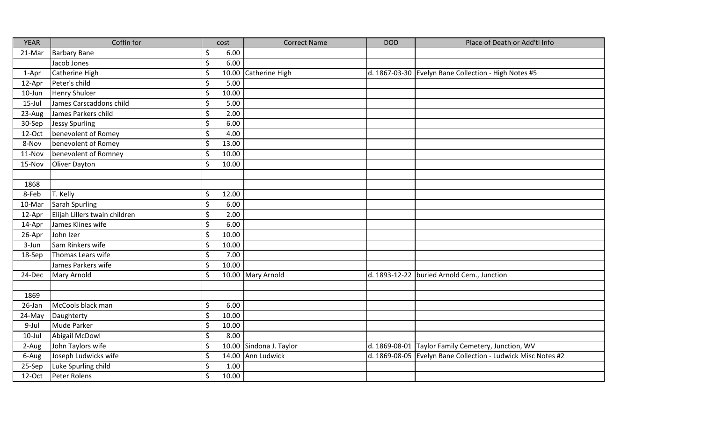| <b>YEAR</b> | Coffin for                    |                          | cost  | <b>Correct Name</b>     | <b>DOD</b> | Place of Death or Add'tl Info                                |
|-------------|-------------------------------|--------------------------|-------|-------------------------|------------|--------------------------------------------------------------|
| 21-Mar      | <b>Barbary Bane</b>           | \$                       | 6.00  |                         |            |                                                              |
|             | Jacob Jones                   | $\zeta$                  | 6.00  |                         |            |                                                              |
| 1-Apr       | Catherine High                | $\zeta$                  |       | 10.00 Catherine High    |            | d. 1867-03-30 Evelyn Bane Collection - High Notes #5         |
| 12-Apr      | Peter's child                 | $\zeta$                  | 5.00  |                         |            |                                                              |
| $10$ -Jun   | <b>Henry Shulcer</b>          | \$                       | 10.00 |                         |            |                                                              |
| $15$ -Jul   | James Carscaddons child       | \$                       | 5.00  |                         |            |                                                              |
| 23-Aug      | James Parkers child           | \$                       | 2.00  |                         |            |                                                              |
| 30-Sep      | <b>Jessy Spurling</b>         | \$                       | 6.00  |                         |            |                                                              |
| 12-Oct      | benevolent of Romey           | $\zeta$                  | 4.00  |                         |            |                                                              |
| 8-Nov       | benevolent of Romey           | \$                       | 13.00 |                         |            |                                                              |
| 11-Nov      | benevolent of Romney          | \$                       | 10.00 |                         |            |                                                              |
| 15-Nov      | Oliver Dayton                 | $\zeta$                  | 10.00 |                         |            |                                                              |
|             |                               |                          |       |                         |            |                                                              |
| 1868        |                               |                          |       |                         |            |                                                              |
| 8-Feb       | T. Kelly                      | $\zeta$                  | 12.00 |                         |            |                                                              |
| 10-Mar      | Sarah Spurling                | \$                       | 6.00  |                         |            |                                                              |
| 12-Apr      | Elijah Lillers twain children | $\zeta$                  | 2.00  |                         |            |                                                              |
| 14-Apr      | James Klines wife             | \$                       | 6.00  |                         |            |                                                              |
| 26-Apr      | John Izer                     | $\zeta$                  | 10.00 |                         |            |                                                              |
| 3-Jun       | Sam Rinkers wife              | \$                       | 10.00 |                         |            |                                                              |
| 18-Sep      | Thomas Lears wife             | $\zeta$                  | 7.00  |                         |            |                                                              |
|             | James Parkers wife            | $\zeta$                  | 10.00 |                         |            |                                                              |
| 24-Dec      | Mary Arnold                   | $\zeta$                  |       | 10.00 Mary Arnold       |            | d. 1893-12-22 buried Arnold Cem., Junction                   |
|             |                               |                          |       |                         |            |                                                              |
| 1869        |                               |                          |       |                         |            |                                                              |
| 26-Jan      | McCools black man             | $\zeta$                  | 6.00  |                         |            |                                                              |
| 24-May      | Daughterty                    | $\zeta$                  | 10.00 |                         |            |                                                              |
| 9-Jul       | Mude Parker                   | $\zeta$                  | 10.00 |                         |            |                                                              |
| $10$ -Jul   | Abigail McDowl                | \$                       | 8.00  |                         |            |                                                              |
| 2-Aug       | John Taylors wife             | \$                       |       | 10.00 Sindona J. Taylor |            | d. 1869-08-01 Taylor Family Cemetery, Junction, WV           |
| 6-Aug       | Joseph Ludwicks wife          | $\zeta$                  |       | 14.00 Ann Ludwick       |            | d. 1869-08-05 Evelyn Bane Collection - Ludwick Misc Notes #2 |
| 25-Sep      | Luke Spurling child           | $\zeta$                  | 1.00  |                         |            |                                                              |
| 12-Oct      | Peter Rolens                  | $\overline{\mathcal{S}}$ | 10.00 |                         |            |                                                              |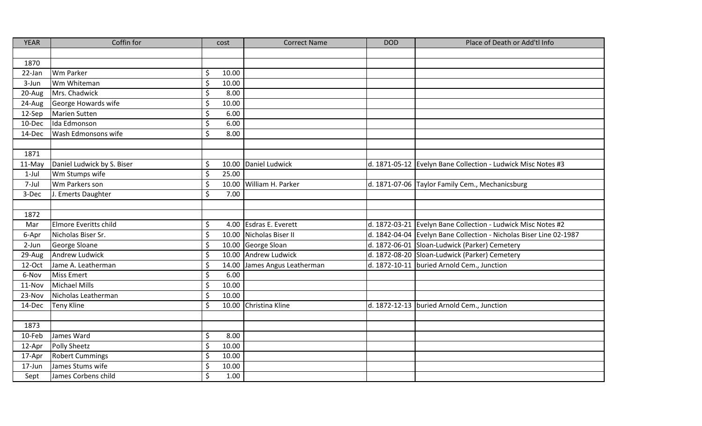| <b>YEAR</b> | Coffin for                 |                    | cost  | <b>Correct Name</b>          | <b>DOD</b>    | Place of Death or Add'tl Info                                      |
|-------------|----------------------------|--------------------|-------|------------------------------|---------------|--------------------------------------------------------------------|
|             |                            |                    |       |                              |               |                                                                    |
| 1870        |                            |                    |       |                              |               |                                                                    |
| 22-Jan      | Wm Parker                  | \$                 | 10.00 |                              |               |                                                                    |
| 3-Jun       | Wm Whiteman                | \$                 | 10.00 |                              |               |                                                                    |
| 20-Aug      | Mrs. Chadwick              | \$                 | 8.00  |                              |               |                                                                    |
| 24-Aug      | George Howards wife        | \$                 | 10.00 |                              |               |                                                                    |
| 12-Sep      | Marien Sutten              | \$                 | 6.00  |                              |               |                                                                    |
| 10-Dec      | Ida Edmonson               | $\zeta$            | 6.00  |                              |               |                                                                    |
| 14-Dec      | Wash Edmonsons wife        | $\zeta$            | 8.00  |                              |               |                                                                    |
|             |                            |                    |       |                              |               |                                                                    |
| 1871        |                            |                    |       |                              |               |                                                                    |
| 11-May      | Daniel Ludwick by S. Biser | \$                 |       | 10.00 Daniel Ludwick         |               | d. 1871-05-12 Evelyn Bane Collection - Ludwick Misc Notes #3       |
| $1-Jul$     | Wm Stumps wife             | $\zeta$            | 25.00 |                              |               |                                                                    |
| 7-Jul       | Wm Parkers son             | $\zeta$            |       | 10.00 William H. Parker      |               | d. 1871-07-06 Taylor Family Cem., Mechanicsburg                    |
| 3-Dec       | J. Emerts Daughter         | \$                 | 7.00  |                              |               |                                                                    |
|             |                            |                    |       |                              |               |                                                                    |
| 1872        |                            |                    |       |                              |               |                                                                    |
| Mar         | Elmore Everitts child      | \$                 |       | 4.00 Esdras E. Everett       | d. 1872-03-21 | Evelyn Bane Collection - Ludwick Misc Notes #2                     |
| 6-Apr       | Nicholas Biser Sr.         | $\zeta$            |       | 10.00 Nicholas Biser II      |               | d. 1842-04-04 Evelyn Bane Collection - Nicholas Biser Line 02-1987 |
| 2-Jun       | George Sloane              | \$                 |       | 10.00 George Sloan           |               | d. 1872-06-01 Sloan-Ludwick (Parker) Cemetery                      |
| 29-Aug      | Andrew Ludwick             | \$                 |       | 10.00 Andrew Ludwick         |               | d. 1872-08-20 Sloan-Ludwick (Parker) Cemetery                      |
| 12-Oct      | Jame A. Leatherman         | $\zeta$            |       | 14.00 James Angus Leatherman | d. 1872-10-11 | buried Arnold Cem., Junction                                       |
| 6-Nov       | <b>Miss Emert</b>          | \$                 | 6.00  |                              |               |                                                                    |
| 11-Nov      | Michael Mills              | \$                 | 10.00 |                              |               |                                                                    |
| 23-Nov      | Nicholas Leatherman        | \$                 | 10.00 |                              |               |                                                                    |
| 14-Dec      | <b>Teny Kline</b>          | $\mathsf{\hat{S}}$ |       | 10.00 Christina Kline        |               | d. 1872-12-13   buried Arnold Cem., Junction                       |
|             |                            |                    |       |                              |               |                                                                    |
| 1873        |                            |                    |       |                              |               |                                                                    |
| 10-Feb      | James Ward                 | \$                 | 8.00  |                              |               |                                                                    |
| 12-Apr      | Polly Sheetz               | \$                 | 10.00 |                              |               |                                                                    |
| 17-Apr      | <b>Robert Cummings</b>     | \$                 | 10.00 |                              |               |                                                                    |
| 17-Jun      | James Stums wife           | \$                 | 10.00 |                              |               |                                                                    |
| Sept        | James Corbens child        | \$                 | 1.00  |                              |               |                                                                    |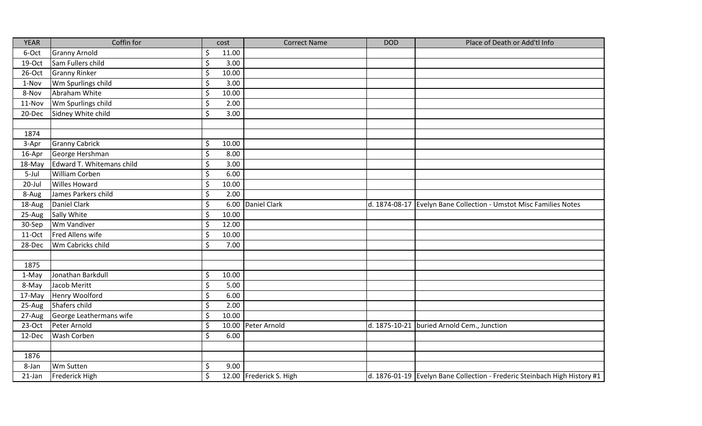| <b>YEAR</b> | Coffin for                |         | cost  | <b>Correct Name</b>     | <b>DOD</b>    | Place of Death or Add'tl Info                                             |
|-------------|---------------------------|---------|-------|-------------------------|---------------|---------------------------------------------------------------------------|
| 6-Oct       | <b>Granny Arnold</b>      | \$      | 11.00 |                         |               |                                                                           |
| 19-Oct      | Sam Fullers child         | \$      | 3.00  |                         |               |                                                                           |
| 26-Oct      | <b>Granny Rinker</b>      | \$      | 10.00 |                         |               |                                                                           |
| 1-Nov       | Wm Spurlings child        | \$      | 3.00  |                         |               |                                                                           |
| 8-Nov       | Abraham White             | \$      | 10.00 |                         |               |                                                                           |
| 11-Nov      | Wm Spurlings child        | \$      | 2.00  |                         |               |                                                                           |
| 20-Dec      | Sidney White child        | \$      | 3.00  |                         |               |                                                                           |
|             |                           |         |       |                         |               |                                                                           |
| 1874        |                           |         |       |                         |               |                                                                           |
| 3-Apr       | <b>Granny Cabrick</b>     | \$      | 10.00 |                         |               |                                                                           |
| 16-Apr      | George Hershman           | \$      | 8.00  |                         |               |                                                                           |
| 18-May      | Edward T. Whitemans child | \$      | 3.00  |                         |               |                                                                           |
| 5-Jul       | <b>William Corben</b>     | \$      | 6.00  |                         |               |                                                                           |
| 20-Jul      | <b>Willes Howard</b>      | \$      | 10.00 |                         |               |                                                                           |
| 8-Aug       | James Parkers child       | \$      | 2.00  |                         |               |                                                                           |
| 18-Aug      | Daniel Clark              | $\zeta$ | 6.00  | Daniel Clark            | d. 1874-08-17 | Evelyn Bane Collection - Umstot Misc Families Notes                       |
| 25-Aug      | Sally White               | $\zeta$ | 10.00 |                         |               |                                                                           |
| 30-Sep      | <b>Wm Vandiver</b>        | \$      | 12.00 |                         |               |                                                                           |
| 11-Oct      | Fred Allens wife          | \$      | 10.00 |                         |               |                                                                           |
| 28-Dec      | Wm Cabricks child         | \$      | 7.00  |                         |               |                                                                           |
|             |                           |         |       |                         |               |                                                                           |
| 1875        |                           |         |       |                         |               |                                                                           |
| 1-May       | Jonathan Barkdull         | \$      | 10.00 |                         |               |                                                                           |
| 8-May       | Jacob Meritt              | \$      | 5.00  |                         |               |                                                                           |
| 17-May      | Henry Woolford            | \$      | 6.00  |                         |               |                                                                           |
| 25-Aug      | Shafers child             | \$      | 2.00  |                         |               |                                                                           |
| 27-Aug      | George Leathermans wife   | \$      | 10.00 |                         |               |                                                                           |
| 23-Oct      | Peter Arnold              | \$      |       | 10.00 Peter Arnold      | d. 1875-10-21 | buried Arnold Cem., Junction                                              |
| 12-Dec      | <b>Wash Corben</b>        | \$      | 6.00  |                         |               |                                                                           |
|             |                           |         |       |                         |               |                                                                           |
| 1876        |                           |         |       |                         |               |                                                                           |
| 8-Jan       | Wm Sutten                 | \$      | 9.00  |                         |               |                                                                           |
| $21$ -Jan   | Frederick High            | $\zeta$ |       | 12.00 Frederick S. High |               | d. 1876-01-19 Evelyn Bane Collection - Frederic Steinbach High History #1 |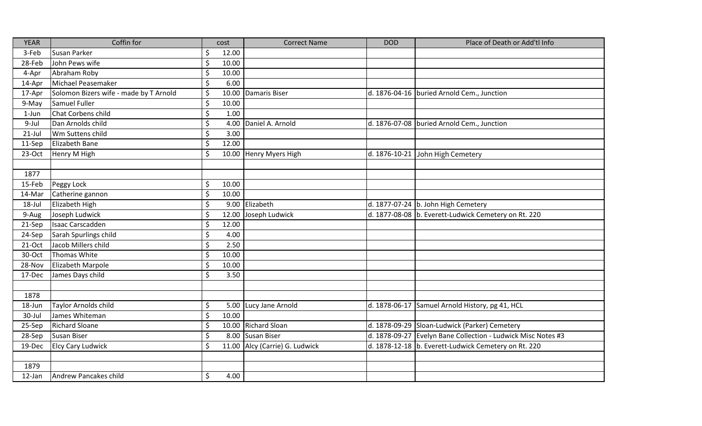| <b>YEAR</b> | Coffin for                             |         | cost  | <b>Correct Name</b>            | <b>DOD</b>    | Place of Death or Add'tl Info                                |
|-------------|----------------------------------------|---------|-------|--------------------------------|---------------|--------------------------------------------------------------|
| 3-Feb       | Susan Parker                           | \$      | 12.00 |                                |               |                                                              |
| 28-Feb      | John Pews wife                         | \$      | 10.00 |                                |               |                                                              |
| 4-Apr       | Abraham Roby                           | \$      | 10.00 |                                |               |                                                              |
| 14-Apr      | Michael Peasemaker                     | \$      | 6.00  |                                |               |                                                              |
| 17-Apr      | Solomon Bizers wife - made by T Arnold | \$      |       | 10.00 Damaris Biser            |               | d. 1876-04-16   buried Arnold Cem., Junction                 |
| 9-May       | Samuel Fuller                          | \$      | 10.00 |                                |               |                                                              |
| $1$ -Jun    | Chat Corbens child                     | \$      | 1.00  |                                |               |                                                              |
| 9-Jul       | Dan Arnolds child                      | \$      |       | 4.00 Daniel A. Arnold          |               | d. 1876-07-08   buried Arnold Cem., Junction                 |
| $21$ -Jul   | Wm Suttens child                       | \$      | 3.00  |                                |               |                                                              |
| 11-Sep      | Elizabeth Bane                         | $\zeta$ | 12.00 |                                |               |                                                              |
| 23-Oct      | Henry M High                           | \$      |       | 10.00 Henry Myers High         |               | d. 1876-10-21 John High Cemetery                             |
|             |                                        |         |       |                                |               |                                                              |
| 1877        |                                        |         |       |                                |               |                                                              |
| 15-Feb      | Peggy Lock                             | \$      | 10.00 |                                |               |                                                              |
| 14-Mar      | Catherine gannon                       | \$      | 10.00 |                                |               |                                                              |
| 18-Jul      | Elizabeth High                         | \$      |       | 9.00 Elizabeth                 |               | d. 1877-07-24 b. John High Cemetery                          |
| 9-Aug       | Joseph Ludwick                         | \$      |       | 12.00 Joseph Ludwick           |               | d. 1877-08-08 b. Everett-Ludwick Cemetery on Rt. 220         |
| 21-Sep      | Isaac Carscadden                       | \$      | 12.00 |                                |               |                                                              |
| 24-Sep      | Sarah Spurlings child                  | \$      | 4.00  |                                |               |                                                              |
| 21-Oct      | Jacob Millers child                    | \$      | 2.50  |                                |               |                                                              |
| 30-Oct      | Thomas White                           | \$      | 10.00 |                                |               |                                                              |
| 28-Nov      | Elizabeth Marpole                      | \$      | 10.00 |                                |               |                                                              |
| 17-Dec      | James Days child                       | \$      | 3.50  |                                |               |                                                              |
|             |                                        |         |       |                                |               |                                                              |
| 1878        |                                        |         |       |                                |               |                                                              |
| 18-Jun      | Taylor Arnolds child                   | \$      |       | 5.00 Lucy Jane Arnold          | d. 1878-06-17 | Samuel Arnold History, pg 41, HCL                            |
| 30-Jul      | James Whiteman                         | $\zeta$ | 10.00 |                                |               |                                                              |
| 25-Sep      | <b>Richard Sloane</b>                  | $\zeta$ |       | 10.00 Richard Sloan            |               | d. 1878-09-29 Sloan-Ludwick (Parker) Cemetery                |
| 28-Sep      | Susan Biser                            | \$      |       | 8.00 Susan Biser               |               | d. 1878-09-27 Evelyn Bane Collection - Ludwick Misc Notes #3 |
| 19-Dec      | <b>Elcy Cary Ludwick</b>               | $\zeta$ |       | 11.00 Alcy (Carrie) G. Ludwick |               | d. 1878-12-18 b. Everett-Ludwick Cemetery on Rt. 220         |
|             |                                        |         |       |                                |               |                                                              |
| 1879        |                                        |         |       |                                |               |                                                              |
| $12$ -Jan   | Andrew Pancakes child                  | \$      | 4.00  |                                |               |                                                              |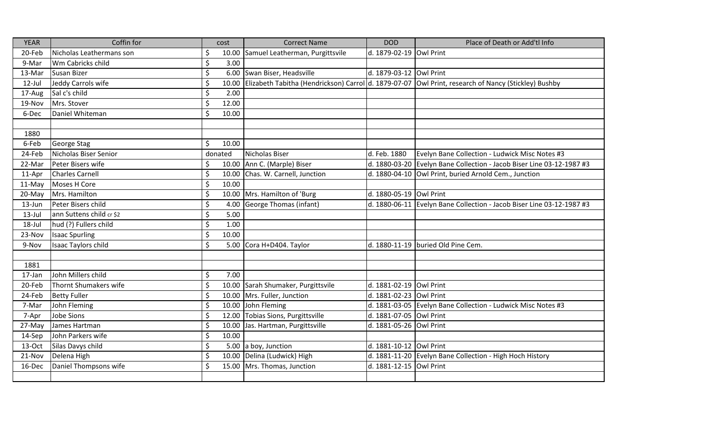| <b>YEAR</b> | Coffin for               |         | cost    | <b>Correct Name</b>                                  | <b>DOD</b>              | Place of Death or Add'tl Info                                |
|-------------|--------------------------|---------|---------|------------------------------------------------------|-------------------------|--------------------------------------------------------------|
| 20-Feb      | Nicholas Leathermans son | \$      |         | 10.00 Samuel Leatherman, Purgittsvile                | d. 1879-02-19 Owl Print |                                                              |
| 9-Mar       | Wm Cabricks child        | \$      | 3.00    |                                                      |                         |                                                              |
| 13-Mar      | <b>Susan Bizer</b>       | \$      |         | 6.00 Swan Biser, Headsville                          | d. 1879-03-12 Owl Print |                                                              |
| $12$ -Jul   | Jeddy Carrols wife       | \$      | 10.00   | Elizabeth Tabitha (Hendrickson) Carrol d. 1879-07-07 |                         | Owl Print, research of Nancy (Stickley) Bushby               |
| 17-Aug      | Sal c's child            | \$      | 2.00    |                                                      |                         |                                                              |
| 19-Nov      | Mrs. Stover              | \$      | 12.00   |                                                      |                         |                                                              |
| 6-Dec       | Daniel Whiteman          | $\zeta$ | 10.00   |                                                      |                         |                                                              |
|             |                          |         |         |                                                      |                         |                                                              |
| 1880        |                          |         |         |                                                      |                         |                                                              |
| 6-Feb       | George Stag              | \$      | 10.00   |                                                      |                         |                                                              |
| 24-Feb      | Nicholas Biser Senior    |         | donated | Nicholas Biser                                       | d. Feb. 1880            | Evelyn Bane Collection - Ludwick Misc Notes #3               |
| 22-Mar      | Peter Bisers wife        | \$      |         | 10.00 Ann C. (Marple) Biser                          | d. 1880-03-20           | Evelyn Bane Collection - Jacob Biser Line 03-12-1987 #3      |
| 11-Apr      | <b>Charles Carnell</b>   | \$      |         | 10.00 Chas. W. Carnell, Junction                     | d. 1880-04-10           | Owl Print, buried Arnold Cem., Junction                      |
| 11-May      | Moses H Core             | $\zeta$ | 10.00   |                                                      |                         |                                                              |
| 20-May      | Mrs. Hamilton            | \$      |         | 10.00 Mrs. Hamilton of 'Burg                         | d. 1880-05-19 Owl Print |                                                              |
| 13-Jun      | Peter Bisers child       | \$      | 4.00    | <b>George Thomas (infant)</b>                        | d. 1880-06-11           | Evelyn Bane Collection - Jacob Biser Line 03-12-1987 #3      |
| $13$ -Jul   | ann Suttens child cr \$2 | \$      | 5.00    |                                                      |                         |                                                              |
| 18-Jul      | hud (?) Fullers child    | \$      | 1.00    |                                                      |                         |                                                              |
| 23-Nov      | <b>Isaac Spurling</b>    | \$      | 10.00   |                                                      |                         |                                                              |
| 9-Nov       | Isaac Taylors child      | \$      |         | 5.00 Cora H+D404. Taylor                             |                         | d. 1880-11-19 buried Old Pine Cem.                           |
|             |                          |         |         |                                                      |                         |                                                              |
| 1881        |                          |         |         |                                                      |                         |                                                              |
| 17-Jan      | John Millers child       | \$      | 7.00    |                                                      |                         |                                                              |
| 20-Feb      | Thornt Shumakers wife    | \$      |         | 10.00 Sarah Shumaker, Purgittsvile                   | d. 1881-02-19           | Owl Print                                                    |
| 24-Feb      | <b>Betty Fuller</b>      | \$      |         | 10.00 Mrs. Fuller, Junction                          | d. 1881-02-23           | Owl Print                                                    |
| 7-Mar       | John Fleming             | \$      |         | 10.00 John Fleming                                   |                         | d. 1881-03-05 Evelyn Bane Collection - Ludwick Misc Notes #3 |
| 7-Apr       | <b>Jobe Sions</b>        | $\zeta$ |         | 12.00 Tobias Sions, Purgittsville                    | d. 1881-07-05           | Owl Print                                                    |
| 27-May      | James Hartman            | $\zeta$ |         | 10.00 Jas. Hartman, Purgittsville                    | d. 1881-05-26           | Owl Print                                                    |
| 14-Sep      | John Parkers wife        | $\zeta$ | 10.00   |                                                      |                         |                                                              |
| 13-Oct      | Silas Davys child        | \$      |         | 5.00 a boy, Junction                                 | d. 1881-10-12 Owl Print |                                                              |
| 21-Nov      | Delena High              | $\zeta$ |         | 10.00 Delina (Ludwick) High                          |                         | d. 1881-11-20 Evelyn Bane Collection - High Hoch History     |
| 16-Dec      | Daniel Thompsons wife    | \$      |         | 15.00 Mrs. Thomas, Junction                          | d. 1881-12-15 Owl Print |                                                              |
|             |                          |         |         |                                                      |                         |                                                              |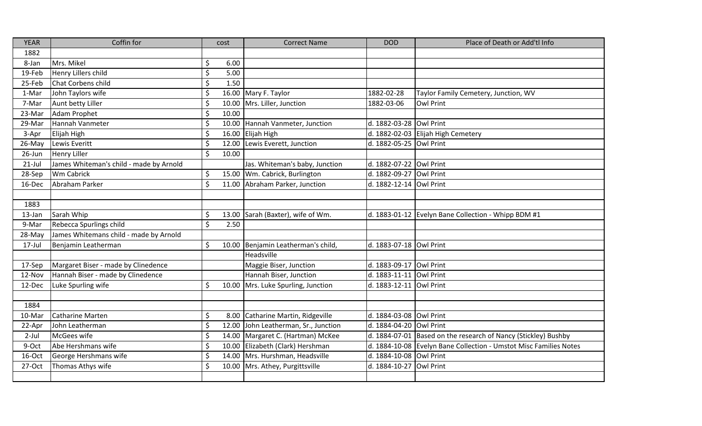| <b>YEAR</b> | Coffin for                              | cost             | <b>Correct Name</b>                  | <b>DOD</b>              | Place of Death or Add'tl Info                                     |
|-------------|-----------------------------------------|------------------|--------------------------------------|-------------------------|-------------------------------------------------------------------|
| 1882        |                                         |                  |                                      |                         |                                                                   |
| 8-Jan       | Mrs. Mikel                              | \$<br>6.00       |                                      |                         |                                                                   |
| 19-Feb      | Henry Lillers child                     | \$<br>5.00       |                                      |                         |                                                                   |
| 25-Feb      | Chat Corbens child                      | $\zeta$<br>1.50  |                                      |                         |                                                                   |
| 1-Mar       | John Taylors wife                       | \$               | 16.00 Mary F. Taylor                 | 1882-02-28              | Taylor Family Cemetery, Junction, WV                              |
| 7-Mar       | Aunt betty Liller                       | \$               | 10.00 Mrs. Liller, Junction          | 1882-03-06              | <b>Owl Print</b>                                                  |
| 23-Mar      | Adam Prophet                            | $\zeta$<br>10.00 |                                      |                         |                                                                   |
| 29-Mar      | Hannah Vanmeter                         | $\zeta$          | 10.00 Hannah Vanmeter, Junction      | d. 1882-03-28           | Owl Print                                                         |
| 3-Apr       | Elijah High                             | \$               | 16.00 Elijah High                    | d. 1882-02-03           | Elijah High Cemetery                                              |
| 26-May      | Lewis Everitt                           | \$               | 12.00 Lewis Everett, Junction        | d. 1882-05-25 Owl Print |                                                                   |
| 26-Jun      | <b>Henry Liller</b>                     | $\zeta$<br>10.00 |                                      |                         |                                                                   |
| $21$ -Jul   | James Whiteman's child - made by Arnold |                  | Jas. Whiteman's baby, Junction       | d. 1882-07-22           | <b>Owl Print</b>                                                  |
| 28-Sep      | Wm Cabrick                              | \$               | 15.00 Wm. Cabrick, Burlington        | d. 1882-09-27           | <b>Owl Print</b>                                                  |
| 16-Dec      | Abraham Parker                          | $\overline{\xi}$ | 11.00 Abraham Parker, Junction       | d. 1882-12-14           | <b>Owl Print</b>                                                  |
|             |                                         |                  |                                      |                         |                                                                   |
| 1883        |                                         |                  |                                      |                         |                                                                   |
| 13-Jan      | Sarah Whip                              | $\zeta$          | 13.00 Sarah (Baxter), wife of Wm.    | d. 1883-01-12           | Evelyn Bane Collection - Whipp BDM #1                             |
| 9-Mar       | Rebecca Spurlings child                 | $\zeta$<br>2.50  |                                      |                         |                                                                   |
| 28-May      | James Whitemans child - made by Arnold  |                  |                                      |                         |                                                                   |
| $17$ -Jul   | Benjamin Leatherman                     | \$               | 10.00 Benjamin Leatherman's child,   | d. 1883-07-18 Owl Print |                                                                   |
|             |                                         |                  | Headsville                           |                         |                                                                   |
| 17-Sep      | Margaret Biser - made by Clinedence     |                  | Maggie Biser, Junction               | d. 1883-09-17           | Owl Print                                                         |
| 12-Nov      | Hannah Biser - made by Clinedence       |                  | Hannah Biser, Junction               | d. 1883-11-11           | <b>Owl Print</b>                                                  |
| 12-Dec      | Luke Spurling wife                      | \$               | 10.00 Mrs. Luke Spurling, Junction   | d. 1883-12-11           | <b>Owl Print</b>                                                  |
|             |                                         |                  |                                      |                         |                                                                   |
| 1884        |                                         |                  |                                      |                         |                                                                   |
| 10-Mar      | <b>Catharine Marten</b>                 | $\zeta$          | 8.00 Catharine Martin, Ridgeville    | d. 1884-03-08           | <b>Owl Print</b>                                                  |
| 22-Apr      | John Leatherman                         | $\zeta$          | 12.00 John Leatherman, Sr., Junction | d. 1884-04-20           | <b>Owl Print</b>                                                  |
| $2$ -Jul    | McGees wife                             | $\zeta$          | 14.00 Margaret C. (Hartman) McKee    | d. 1884-07-01           | Based on the research of Nancy (Stickley) Bushby                  |
| 9-Oct       | Abe Hershmans wife                      | \$               | 10.00 Elizabeth (Clark) Hershman     |                         | d. 1884-10-08 Evelyn Bane Collection - Umstot Misc Families Notes |
| 16-Oct      | George Hershmans wife                   | \$               | 14.00 Mrs. Hurshman, Headsville      | d. 1884-10-08           | Owl Print                                                         |
| 27-Oct      | Thomas Athys wife                       | $\zeta$          | 10.00 Mrs. Athey, Purgittsville      | d. 1884-10-27           | <b>Owl Print</b>                                                  |
|             |                                         |                  |                                      |                         |                                                                   |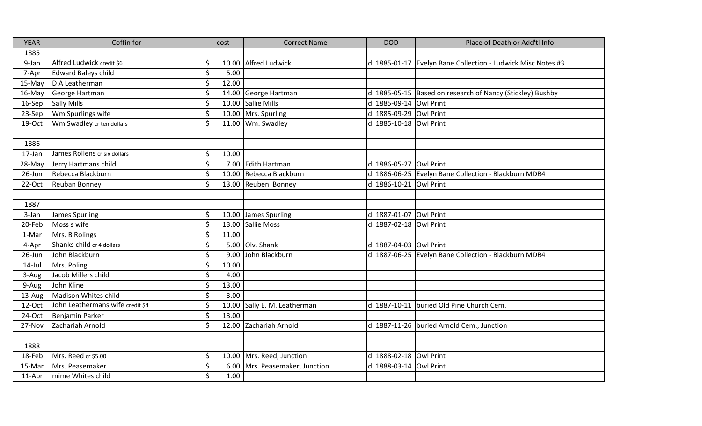| <b>YEAR</b> | Coffin for                       | cost        | <b>Correct Name</b>       | <b>DOD</b>              | Place of Death or Add'tl Info                              |
|-------------|----------------------------------|-------------|---------------------------|-------------------------|------------------------------------------------------------|
| 1885        |                                  |             |                           |                         |                                                            |
| 9-Jan       | Alfred Ludwick credit \$6        | \$          | 10.00 Alfred Ludwick      | d. 1885-01-17           | Evelyn Bane Collection - Ludwick Misc Notes #3             |
| 7-Apr       | <b>Edward Baleys child</b>       | \$<br>5.00  |                           |                         |                                                            |
| 15-May      | D A Leatherman                   | \$<br>12.00 |                           |                         |                                                            |
| 16-May      | George Hartman                   | \$          | 14.00 George Hartman      |                         | d. 1885-05-15 Based on research of Nancy (Stickley) Bushby |
| 16-Sep      | <b>Sally Mills</b>               | \$          | 10.00 Sallie Mills        | d. 1885-09-14 Owl Print |                                                            |
| 23-Sep      | Wm Spurlings wife                | \$          | 10.00 Mrs. Spurling       | d. 1885-09-29 Owl Print |                                                            |
| 19-Oct      | Wm Swadley cr ten dollars        | $\zeta$     | 11.00 Wm. Swadley         | d. 1885-10-18 Owl Print |                                                            |
|             |                                  |             |                           |                         |                                                            |
| 1886        |                                  |             |                           |                         |                                                            |
| 17-Jan      | James Rollens cr six dollars     | \$<br>10.00 |                           |                         |                                                            |
| 28-May      | Jerry Hartmans child             | \$          | 7.00 Edith Hartman        | d. 1886-05-27           | Owl Print                                                  |
| 26-Jun      | Rebecca Blackburn                | \$          | 10.00 Rebecca Blackburn   |                         | d. 1886-06-25 Evelyn Bane Collection - Blackburn MDB4      |
| 22-Oct      | <b>Reuban Bonney</b>             | \$          | 13.00 Reuben Bonney       | d. 1886-10-21 Owl Print |                                                            |
|             |                                  |             |                           |                         |                                                            |
| 1887        |                                  |             |                           |                         |                                                            |
| 3-Jan       | <b>James Spurling</b>            | \$          | 10.00 James Spurling      | d. 1887-01-07           | <b>Owl Print</b>                                           |
| 20-Feb      | Moss s wife                      | \$          | 13.00 Sallie Moss         | d. 1887-02-18 Owl Print |                                                            |
| 1-Mar       | Mrs. B Rolings                   | \$<br>11.00 |                           |                         |                                                            |
| 4-Apr       | Shanks child cr 4 dollars        | \$          | 5.00 Olv. Shank           | d. 1887-04-03 Owl Print |                                                            |
| 26-Jun      | John Blackburn                   | \$<br>9.00  | John Blackburn            |                         | d. 1887-06-25 Evelyn Bane Collection - Blackburn MDB4      |
| $14$ -Jul   | Mrs. Poling                      | \$<br>10.00 |                           |                         |                                                            |
| 3-Aug       | Jacob Millers child              | \$<br>4.00  |                           |                         |                                                            |
| 9-Aug       | John Kline                       | \$<br>13.00 |                           |                         |                                                            |
| 13-Aug      | Madison Whites child             | \$<br>3.00  |                           |                         |                                                            |
| 12-Oct      | John Leathermans wife credit \$4 | \$<br>10.00 | Sally E. M. Leatherman    |                         | d. 1887-10-11 buried Old Pine Church Cem.                  |
| 24-Oct      | Benjamin Parker                  | \$<br>13.00 |                           |                         |                                                            |
| 27-Nov      | Zachariah Arnold                 | $\zeta$     | 12.00 Zachariah Arnold    |                         | d. 1887-11-26 buried Arnold Cem., Junction                 |
|             |                                  |             |                           |                         |                                                            |
| 1888        |                                  |             |                           |                         |                                                            |
| 18-Feb      | Mrs. Reed cr \$5.00              | \$<br>10.00 | Mrs. Reed, Junction       | d. 1888-02-18 Owl Print |                                                            |
| 15-Mar      | Mrs. Peasemaker                  | \$<br>6.00  | Mrs. Peasemaker, Junction | d. 1888-03-14 Owl Print |                                                            |
| 11-Apr      | mime Whites child                | \$<br>1.00  |                           |                         |                                                            |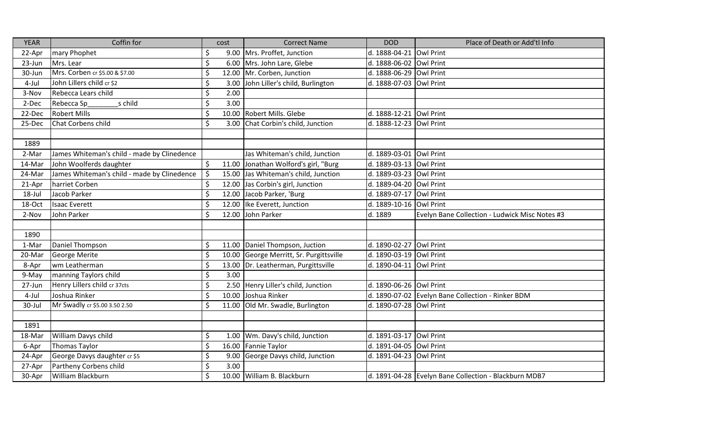| <b>YEAR</b> | Coffin for                                  |                          | cost  | <b>Correct Name</b>                     | <b>DOD</b>              | Place of Death or Add'tl Info                         |
|-------------|---------------------------------------------|--------------------------|-------|-----------------------------------------|-------------------------|-------------------------------------------------------|
| 22-Apr      | mary Phophet                                | \$                       |       | 9.00 Mrs. Proffet, Junction             | d. 1888-04-21           | <b>Owl Print</b>                                      |
| 23-Jun      | Mrs. Lear                                   | \$                       |       | 6.00 Mrs. John Lare, Glebe              | d. 1888-06-02           | <b>Owl Print</b>                                      |
| 30-Jun      | Mrs. Corben cr \$5.00 & \$7.00              | \$                       |       | 12.00 Mr. Corben, Junction              | d. 1888-06-29           | <b>Owl Print</b>                                      |
| 4-Jul       | John Lillers child cr \$2                   | \$                       | 3.00  | John Liller's child, Burlington         | d. 1888-07-03           | <b>Owl Print</b>                                      |
| 3-Nov       | Rebecca Lears child                         | $\zeta$                  | 2.00  |                                         |                         |                                                       |
| 2-Dec       | s child<br>Rebecca Sp                       | \$                       | 3.00  |                                         |                         |                                                       |
| 22-Dec      | <b>Robert Mills</b>                         | \$                       |       | 10.00 Robert Mills. Glebe               | d. 1888-12-21           | <b>Owl Print</b>                                      |
| 25-Dec      | Chat Corbens child                          | $\overline{\mathcal{S}}$ | 3.00  | Chat Corbin's child, Junction           | d. 1888-12-23           | <b>Owl Print</b>                                      |
|             |                                             |                          |       |                                         |                         |                                                       |
| 1889        |                                             |                          |       |                                         |                         |                                                       |
| 2-Mar       | James Whiteman's child - made by Clinedence |                          |       | Jas Whiteman's child, Junction          | d. 1889-03-01           | <b>Owl Print</b>                                      |
| 14-Mar      | John Woolferds daughter                     | \$                       |       | 11.00 Jonathan Wolford's girl, "Burg    | d. 1889-03-13           | <b>Owl Print</b>                                      |
| 24-Mar      | James Whiteman's child - made by Clinedence | $\zeta$                  |       | 15.00 Jas Whiteman's child, Junction    | d. 1889-03-23           | <b>Owl Print</b>                                      |
| 21-Apr      | harriet Corben                              | \$                       |       | 12.00 Jas Corbin's girl, Junction       | d. 1889-04-20           | Owl Print                                             |
| 18-Jul      | Jacob Parker                                | \$                       | 12.00 | Jacob Parker, 'Burg                     | d. 1889-07-17           | <b>Owl Print</b>                                      |
| 18-Oct      | <b>Isaac Everett</b>                        | $\zeta$                  | 12.00 | Ike Everett, Junction                   | d. 1889-10-16           | <b>Owl Print</b>                                      |
| 2-Nov       | John Parker                                 | $\zeta$                  | 12.00 | John Parker                             | d. 1889                 | Evelyn Bane Collection - Ludwick Misc Notes #3        |
|             |                                             |                          |       |                                         |                         |                                                       |
| 1890        |                                             |                          |       |                                         |                         |                                                       |
| 1-Mar       | Daniel Thompson                             | \$                       |       | 11.00 Daniel Thompson, Juction          | d. 1890-02-27           | Owl Print                                             |
| 20-Mar      | <b>George Merite</b>                        | \$                       |       | 10.00 George Merritt, Sr. Purgittsville | d. 1890-03-19           | Owl Print                                             |
| 8-Apr       | wm Leatherman                               | $\zeta$                  |       | 13.00 Dr. Leatherman, Purgittsville     | d. 1890-04-11           | <b>Owl Print</b>                                      |
| 9-May       | manning Taylors child                       | \$                       | 3.00  |                                         |                         |                                                       |
| 27-Jun      | Henry Lillers child cr 37cts                | \$                       |       | 2.50 Henry Liller's child, Junction     | d. 1890-06-26 Owl Print |                                                       |
| 4-Jul       | Joshua Rinker                               | \$                       | 10.00 | Joshua Rinker                           | d. 1890-07-02           | Evelyn Bane Collection - Rinker BDM                   |
| 30-Jul      | Mr Swadly cr \$5.00 3.50 2.50               | \$                       | 11.00 | Old Mr. Swadle, Burlington              | d. 1890-07-28           | <b>Owl Print</b>                                      |
|             |                                             |                          |       |                                         |                         |                                                       |
| 1891        |                                             |                          |       |                                         |                         |                                                       |
| 18-Mar      | William Davys child                         | \$                       |       | 1.00 Wm. Davy's child, Junction         | d. 1891-03-17           | Owl Print                                             |
| 6-Apr       | <b>Thomas Taylor</b>                        | \$                       | 16.00 | Fannie Taylor                           | d. 1891-04-05           | Towl Print                                            |
| 24-Apr      | George Davys daughter cr \$5                | $\zeta$                  | 9.00  | George Davys child, Junction            | d. 1891-04-23           | <b>Owl Print</b>                                      |
| 27-Apr      | Partheny Corbens child                      | \$                       | 3.00  |                                         |                         |                                                       |
| 30-Apr      | William Blackburn                           | $\zeta$                  |       | 10.00 William B. Blackburn              |                         | d. 1891-04-28 Evelyn Bane Collection - Blackburn MDB7 |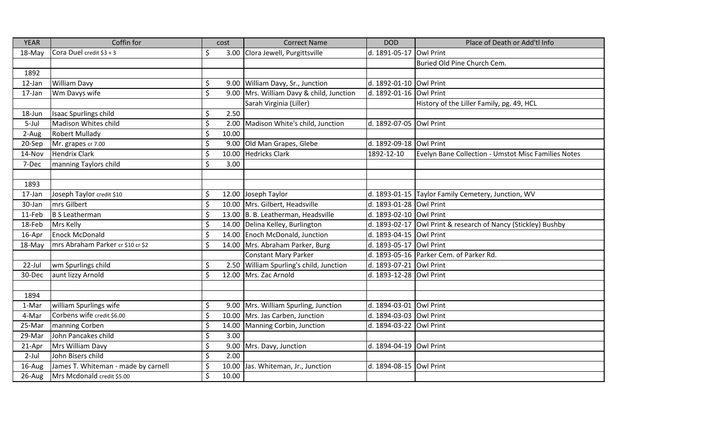| <b>YEAR</b> | Coffin for                          | cost    |       | <b>Correct Name</b>                      | <b>DOD</b>    | Place of Death or Add'tl Info                       |
|-------------|-------------------------------------|---------|-------|------------------------------------------|---------------|-----------------------------------------------------|
| 18-May      | Cora Duel credit \$3 + 3            | \$      |       | 3.00 Clora Jewell, Purgittsville         | d. 1891-05-17 | <b>Owl Print</b>                                    |
|             |                                     |         |       |                                          |               | Buried Old Pine Church Cem.                         |
| 1892        |                                     |         |       |                                          |               |                                                     |
| 12-Jan      | <b>William Davy</b>                 | \$      |       | 9.00 William Davy, Sr., Junction         | d. 1892-01-10 | <b>Owl Print</b>                                    |
| 17-Jan      | Wm Davys wife                       | \$      |       | 9.00 Mrs. William Davy & child, Junction | d. 1892-01-16 | Owl Print                                           |
|             |                                     |         |       | Sarah Virginia (Liller)                  |               | History of the Liller Family, pg. 49, HCL           |
| 18-Jun      | <b>Isaac Spurlings child</b>        | \$      | 2.50  |                                          |               |                                                     |
| 5-Jul       | Madison Whites child                | \$      |       | 2.00 Madison White's child, Junction     | d. 1892-07-05 | <b>Owl Print</b>                                    |
| 2-Aug       | <b>Robert Mullady</b>               | \$      | 10.00 |                                          |               |                                                     |
| 20-Sep      | Mr. grapes cr 7.00                  | \$      |       | 9.00 Old Man Grapes, Glebe               | d. 1892-09-18 | Owl Print                                           |
| 14-Nov      | <b>Hendrix Clark</b>                | \$      |       | 10.00 Hedricks Clark                     | 1892-12-10    | Evelyn Bane Collection - Umstot Misc Families Notes |
| 7-Dec       | manning Taylors child               | $\zeta$ | 3.00  |                                          |               |                                                     |
|             |                                     |         |       |                                          |               |                                                     |
| 1893        |                                     |         |       |                                          |               |                                                     |
| 17-Jan      | Joseph Taylor credit \$10           | \$      |       | 12.00 Joseph Taylor                      |               | d. 1893-01-15 Taylor Family Cemetery, Junction, WV  |
| 30-Jan      | mrs Gilbert                         | \$      |       | 10.00 Mrs. Gilbert, Headsville           | d. 1893-01-28 | Owl Print                                           |
| 11-Feb      | <b>B S Leatherman</b>               | $\zeta$ |       | 13.00 B. B. Leatherman, Headsville       | d. 1893-02-10 | Owl Print                                           |
| 18-Feb      | Mrs Kelly                           | \$      |       | 14.00 Delina Kelley, Burlington          | d. 1893-02-17 | Owl Print & research of Nancy (Stickley) Bushby     |
| 16-Apr      | <b>Enock McDonald</b>               | \$      |       | 14.00 Enoch McDonald, Junction           | d. 1893-04-15 | Owl Print                                           |
| 18-May      | mrs Abraham Parker cr \$10 cr \$2   | \$      |       | 14.00 Mrs. Abraham Parker, Burg          | d. 1893-05-17 | Owl Print                                           |
|             |                                     |         |       | <b>Constant Mary Parker</b>              |               | d. 1893-05-16 Parker Cem. of Parker Rd.             |
| 22-Jul      | wm Spurlings child                  | \$      |       | 2.50 William Spurling's child, Junction  | d. 1893-07-21 | <b>Owl Print</b>                                    |
| 30-Dec      | aunt lizzy Arnold                   | $\zeta$ |       | 12.00 Mrs. Zac Arnold                    | d. 1893-12-28 | <b>Owl Print</b>                                    |
|             |                                     |         |       |                                          |               |                                                     |
| 1894        |                                     |         |       |                                          |               |                                                     |
| 1-Mar       | william Spurlings wife              | \$      |       | 9.00 Mrs. William Spurling, Junction     | d. 1894-03-01 | <b>Owl Print</b>                                    |
| 4-Mar       | Corbens wife credit \$6.00          | \$      |       | 10.00 Mrs. Jas Carben, Junction          | d. 1894-03-03 | <b>Owl Print</b>                                    |
| 25-Mar      | manning Corben                      | \$      |       | 14.00 Manning Corbin, Junction           | d. 1894-03-22 | <b>Owl Print</b>                                    |
| 29-Mar      | John Pancakes child                 | \$      | 3.00  |                                          |               |                                                     |
| 21-Apr      | Mrs William Davy                    | \$      |       | 9.00 Mrs. Davy, Junction                 | d. 1894-04-19 | Owl Print                                           |
| $2$ -Jul    | John Bisers child                   | \$      | 2.00  |                                          |               |                                                     |
| 16-Aug      | James T. Whiteman - made by carnell | \$      |       | 10.00 Jas. Whiteman, Jr., Junction       | d. 1894-08-15 | Owl Print                                           |
| 26-Aug      | Mrs Mcdonald credit \$5.00          | \$      | 10.00 |                                          |               |                                                     |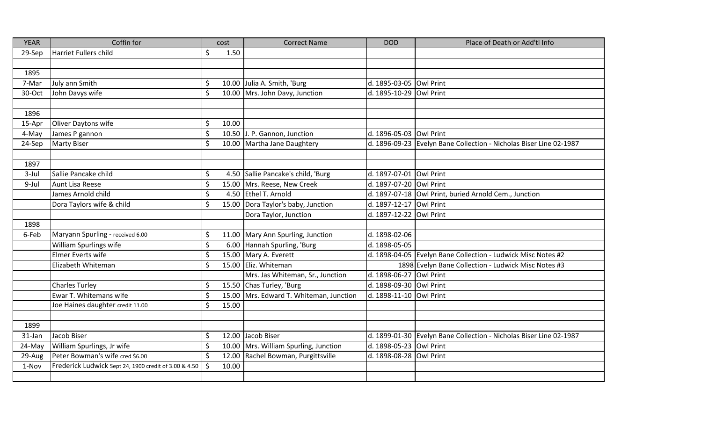| <b>YEAR</b> | Coffin for                                            |         | cost  | <b>Correct Name</b>                   | <b>DOD</b>              | Place of Death or Add'tl Info                                      |
|-------------|-------------------------------------------------------|---------|-------|---------------------------------------|-------------------------|--------------------------------------------------------------------|
| 29-Sep      | Harriet Fullers child                                 | \$      | 1.50  |                                       |                         |                                                                    |
|             |                                                       |         |       |                                       |                         |                                                                    |
| 1895        |                                                       |         |       |                                       |                         |                                                                    |
| 7-Mar       | July ann Smith                                        | \$      |       | 10.00 Julia A. Smith, 'Burg           | d. 1895-03-05 Owl Print |                                                                    |
| 30-Oct      | John Davys wife                                       | \$      |       | 10.00 Mrs. John Davy, Junction        | d. 1895-10-29 Owl Print |                                                                    |
|             |                                                       |         |       |                                       |                         |                                                                    |
| 1896        |                                                       |         |       |                                       |                         |                                                                    |
| 15-Apr      | Oliver Daytons wife                                   | \$      | 10.00 |                                       |                         |                                                                    |
| 4-May       | James P gannon                                        | $\zeta$ |       | 10.50 J. P. Gannon, Junction          | d. 1896-05-03 Owl Print |                                                                    |
| 24-Sep      | <b>Marty Biser</b>                                    | $\zeta$ |       | 10.00 Martha Jane Daughtery           |                         | d. 1896-09-23 Evelyn Bane Collection - Nicholas Biser Line 02-1987 |
|             |                                                       |         |       |                                       |                         |                                                                    |
| 1897        |                                                       |         |       |                                       |                         |                                                                    |
| 3-Jul       | Sallie Pancake child                                  | \$      |       | 4.50 Sallie Pancake's child, 'Burg    | d. 1897-07-01 Owl Print |                                                                    |
| 9-Jul       | Aunt Lisa Reese                                       | $\zeta$ |       | 15.00 Mrs. Reese, New Creek           | d. 1897-07-20 Owl Print |                                                                    |
|             | James Arnold child                                    | \$      |       | 4.50 Ethel T. Arnold                  |                         | d. 1897-07-18 Owl Print, buried Arnold Cem., Junction              |
|             | Dora Taylors wife & child                             | \$      |       | 15.00 Dora Taylor's baby, Junction    | d. 1897-12-17 Owl Print |                                                                    |
|             |                                                       |         |       | Dora Taylor, Junction                 | d. 1897-12-22 Owl Print |                                                                    |
| 1898        |                                                       |         |       |                                       |                         |                                                                    |
| 6-Feb       | Maryann Spurling - received 6.00                      | \$      |       | 11.00 Mary Ann Spurling, Junction     | d. 1898-02-06           |                                                                    |
|             | William Spurlings wife                                | $\zeta$ |       | 6.00 Hannah Spurling, 'Burg           | d. 1898-05-05           |                                                                    |
|             | Elmer Everts wife                                     | $\zeta$ |       | 15.00 Mary A. Everett                 |                         | d. 1898-04-05 Evelyn Bane Collection - Ludwick Misc Notes #2       |
|             | Elizabeth Whiteman                                    | \$      |       | 15.00 Eliz. Whiteman                  |                         | 1898 Evelyn Bane Collection - Ludwick Misc Notes #3                |
|             |                                                       |         |       | Mrs. Jas Whiteman, Sr., Junction      | d. 1898-06-27 Owl Print |                                                                    |
|             | <b>Charles Turley</b>                                 | \$      |       | 15.50 Chas Turley, 'Burg              | d. 1898-09-30 Owl Print |                                                                    |
|             | Ewar T. Whitemans wife                                | \$      | 15.00 | Mrs. Edward T. Whiteman, Junction     | d. 1898-11-10 Owl Print |                                                                    |
|             | Joe Haines daughter credit 11.00                      | \$      | 15.00 |                                       |                         |                                                                    |
|             |                                                       |         |       |                                       |                         |                                                                    |
| 1899        |                                                       |         |       |                                       |                         |                                                                    |
| 31-Jan      | Jacob Biser                                           | \$      |       | 12.00 Jacob Biser                     |                         | d. 1899-01-30 Evelyn Bane Collection - Nicholas Biser Line 02-1987 |
| 24-May      | William Spurlings, Jr wife                            | \$      |       | 10.00 Mrs. William Spurling, Junction | d. 1898-05-23 Owl Print |                                                                    |
| 29-Aug      | Peter Bowman's wife cred \$6.00                       | \$      |       | 12.00 Rachel Bowman, Purgittsville    | d. 1898-08-28 Owl Print |                                                                    |
| 1-Nov       | Frederick Ludwick Sept 24, 1900 credit of 3.00 & 4.50 | Ŝ.      | 10.00 |                                       |                         |                                                                    |
|             |                                                       |         |       |                                       |                         |                                                                    |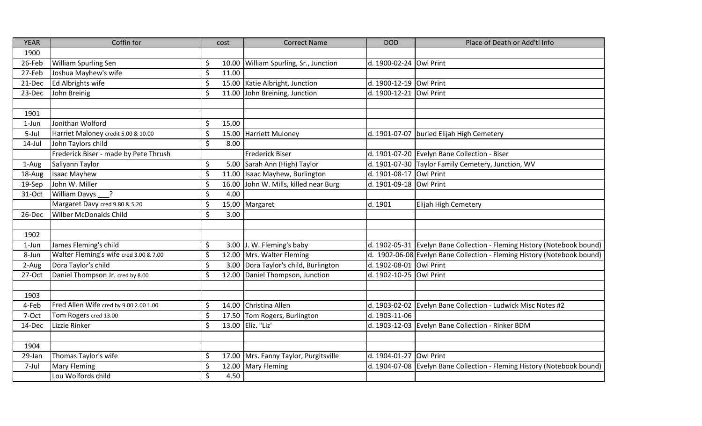| <b>YEAR</b> | Coffin for                             | cost                       | <b>Correct Name</b>                   | <b>DOD</b>              | Place of Death or Add'tl Info                                           |
|-------------|----------------------------------------|----------------------------|---------------------------------------|-------------------------|-------------------------------------------------------------------------|
| 1900        |                                        |                            |                                       |                         |                                                                         |
| 26-Feb      | William Spurling Sen                   | \$                         | 10.00 William Spurling, Sr., Junction | d. 1900-02-24 Owl Print |                                                                         |
| 27-Feb      | Joshua Mayhew's wife                   | \$<br>11.00                |                                       |                         |                                                                         |
| 21-Dec      | Ed Albrights wife                      | \$                         | 15.00 Katie Albright, Junction        | d. 1900-12-19 Owl Print |                                                                         |
| 23-Dec      | John Breinig                           | \$<br>11.00                | John Breining, Junction               | d. 1900-12-21           | Owl Print                                                               |
|             |                                        |                            |                                       |                         |                                                                         |
| 1901        |                                        |                            |                                       |                         |                                                                         |
| 1-Jun       | Jonithan Wolford                       | \$<br>15.00                |                                       |                         |                                                                         |
| 5-Jul       | Harriet Maloney credit 5.00 & 10.00    | \$                         | 15.00 Harriett Muloney                | d. 1901-07-07           | buried Elijah High Cemetery                                             |
| $14$ -Jul   | John Taylors child                     | $\zeta$<br>8.00            |                                       |                         |                                                                         |
|             | Frederick Biser - made by Pete Thrush  |                            | <b>Frederick Biser</b>                |                         | d. 1901-07-20 Evelyn Bane Collection - Biser                            |
| 1-Aug       | Sallyann Taylor                        | \$                         | 5.00 Sarah Ann (High) Taylor          | d. 1901-07-30           | Taylor Family Cemetery, Junction, WV                                    |
| 18-Aug      | <b>Isaac Mayhew</b>                    | \$                         | 11.00 Isaac Mayhew, Burlington        | d. 1901-08-17           | Owl Print                                                               |
| 19-Sep      | John W. Miller                         | \$<br>16.00                | John W. Mills, killed near Burg       | d. 1901-09-18           | <b>Owl Print</b>                                                        |
| 31-Oct      | William Davys ___?                     | \$<br>4.00                 |                                       |                         |                                                                         |
|             | Margaret Davy cred 9.80 & 5.20         | \$                         | 15.00 Margaret                        | d. 1901                 | Elijah High Cemetery                                                    |
| 26-Dec      | <b>Wilber McDonalds Child</b>          | $\mathsf{\dot{S}}$<br>3.00 |                                       |                         |                                                                         |
|             |                                        |                            |                                       |                         |                                                                         |
| 1902        |                                        |                            |                                       |                         |                                                                         |
| $1$ -Jun    | James Fleming's child                  | \$                         | 3.00 J. W. Fleming's baby             |                         | d. 1902-05-31 Evelyn Bane Collection - Fleming History (Notebook bound) |
| 8-Jun       | Walter Fleming's wife cred 3.00 & 7.00 | \$                         | 12.00 Mrs. Walter Fleming             |                         | d. 1902-06-08 Evelyn Bane Collection - Fleming History (Notebook bound) |
| 2-Aug       | Dora Taylor's child                    | \$                         | 3.00 Dora Taylor's child, Burlington  | d. 1902-08-01           | Owl Print                                                               |
| 27-Oct      | Daniel Thompson Jr. cred by 8.00       | \$                         | 12.00 Daniel Thompson, Junction       | d. 1902-10-25           | Owl Print                                                               |
|             |                                        |                            |                                       |                         |                                                                         |
| 1903        |                                        |                            |                                       |                         |                                                                         |
| 4-Feb       | Fred Allen Wife cred by 9.00 2.00 1.00 | \$<br>14.00                | Christina Allen                       | d. 1903-02-02           | Evelyn Bane Collection - Ludwick Misc Notes #2                          |
| 7-Oct       | Tom Rogers cred 13.00                  | \$<br>17.50                | Tom Rogers, Burlington                | d. 1903-11-06           |                                                                         |
| 14-Dec      | Lizzie Rinker                          | $\mathsf S$                | 13.00 Eliz. "Liz'                     | d. 1903-12-03           | Evelyn Bane Collection - Rinker BDM                                     |
|             |                                        |                            |                                       |                         |                                                                         |
| 1904        |                                        |                            |                                       |                         |                                                                         |
| 29-Jan      | Thomas Taylor's wife                   | \$                         | 17.00 Mrs. Fanny Taylor, Purgitsville | d. 1904-01-27           | Owl Print                                                               |
| 7-Jul       | <b>Mary Fleming</b>                    | \$<br>12.00                | <b>Mary Fleming</b>                   | d. 1904-07-08           | Evelyn Bane Collection - Fleming History (Notebook bound)               |
|             | Lou Wolfords child                     | \$<br>4.50                 |                                       |                         |                                                                         |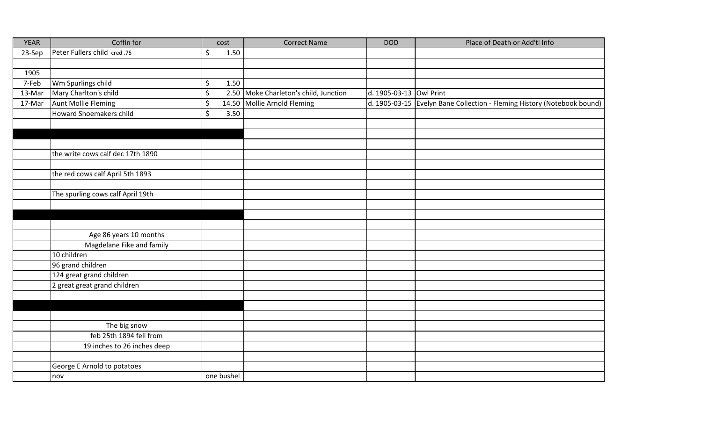| <b>YEAR</b> | Coffin for                        | cost            | <b>Correct Name</b>                   | <b>DOD</b>              | Place of Death or Add'tl Info                                           |
|-------------|-----------------------------------|-----------------|---------------------------------------|-------------------------|-------------------------------------------------------------------------|
| 23-Sep      | Peter Fullers child cred.75       | \$<br>1.50      |                                       |                         |                                                                         |
|             |                                   |                 |                                       |                         |                                                                         |
| 1905        |                                   |                 |                                       |                         |                                                                         |
| 7-Feb       | Wm Spurlings child                | $\zeta$<br>1.50 |                                       |                         |                                                                         |
| 13-Mar      | Mary Charlton's child             | \$              | 2.50 Moke Charleton's child, Junction | d. 1905-03-13 Owl Print |                                                                         |
| 17-Mar      | <b>Aunt Mollie Fleming</b>        | \$              | 14.50 Mollie Arnold Fleming           |                         | d. 1905-03-15 Evelyn Bane Collection - Fleming History (Notebook bound) |
|             | Howard Shoemakers child           | $\zeta$<br>3.50 |                                       |                         |                                                                         |
|             |                                   |                 |                                       |                         |                                                                         |
|             |                                   |                 |                                       |                         |                                                                         |
|             |                                   |                 |                                       |                         |                                                                         |
|             | the write cows calf dec 17th 1890 |                 |                                       |                         |                                                                         |
|             |                                   |                 |                                       |                         |                                                                         |
|             | the red cows calf April 5th 1893  |                 |                                       |                         |                                                                         |
|             |                                   |                 |                                       |                         |                                                                         |
|             | The spurling cows calf April 19th |                 |                                       |                         |                                                                         |
|             |                                   |                 |                                       |                         |                                                                         |
|             |                                   |                 |                                       |                         |                                                                         |
|             |                                   |                 |                                       |                         |                                                                         |
|             | Age 86 years 10 months            |                 |                                       |                         |                                                                         |
|             | Magdelane Fike and family         |                 |                                       |                         |                                                                         |
|             | 10 children                       |                 |                                       |                         |                                                                         |
|             | 96 grand children                 |                 |                                       |                         |                                                                         |
|             | 124 great grand children          |                 |                                       |                         |                                                                         |
|             | 2 great great grand children      |                 |                                       |                         |                                                                         |
|             |                                   |                 |                                       |                         |                                                                         |
|             |                                   |                 |                                       |                         |                                                                         |
|             |                                   |                 |                                       |                         |                                                                         |
|             | The big snow                      |                 |                                       |                         |                                                                         |
|             | feb 25th 1894 fell from           |                 |                                       |                         |                                                                         |
|             | 19 inches to 26 inches deep       |                 |                                       |                         |                                                                         |
|             |                                   |                 |                                       |                         |                                                                         |
|             | George E Arnold to potatoes       |                 |                                       |                         |                                                                         |
|             | nov                               | one bushel      |                                       |                         |                                                                         |